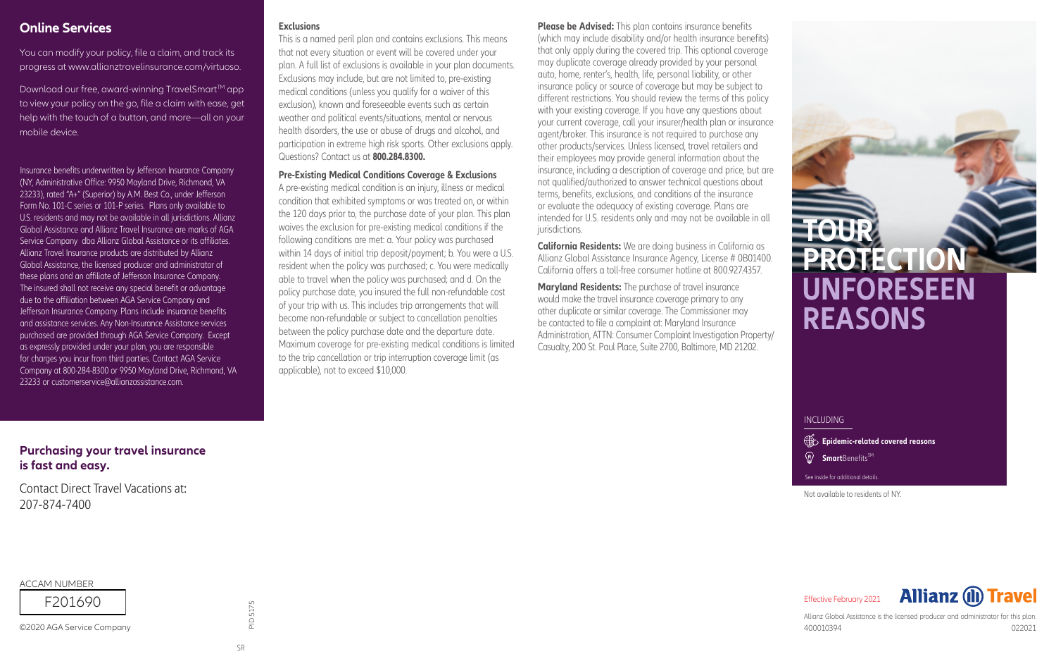#### **Online Services**

You can modify your policy, file a claim, and track its progress at www.allianztravelinsurance.com/virtuoso.

Download our free, award-winning TravelSmart™ app to view your policy on the go, file a claim with ease, get help with the touch of a button, and more—all on your mobile device

Insurance benefits underwritten by Jefferson Insurance Company (NY, Administrative Office: 9950 Mayland Drive, Richmond, VA 23233), rated "A+" (Superior) by A.M. Best Co., under Jefferson Form No. 101-C series or 101-P series. Plans only available to U.S. residents and may not be available in all jurisdictions. Allianz Global Assistance and Allianz Travel Insurance are marks of AGA Service Company dba Allianz Global Assistance or its affiliates. Allianz Travel Insurance products are distributed by Allianz Global Assistance, the licensed producer and administrator of these plans and an affiliate of Jefferson Insurance Company. The insured shall not receive any special benefit or advantage due to the affiliation between AGA Service Company and Jefferson Insurance Company. Plans include insurance benefits and assistance services. Any Non-Insurance Assistance services purchased are provided through AGA Service Company. Except as expressly provided under your plan, you are responsible for charges you incur from third parties. Contact AGA Service Company at 800-284-8300 or 9950 Mayland Drive, Richmond, VA 23233 or customerservice@allianzassistance.com.

#### **Exclusions**

This is a named peril plan and contains exclusions. This means that not every situation or event will be covered under your plan. A full list of exclusions is available in your plan documents. Exclusions may include, but are not limited to, pre-existing medical conditions (unless you qualify for a waiver of this exclusion), known and foreseeable events such as certain weather and political events/situations, mental or nervous health disorders, the use or abuse of drugs and alcohol, and participation in extreme high risk sports. Other exclusions apply. Questions? Contact us at **800.284.8300.**

**Pre-Existing Medical Conditions Coverage & Exclusions**

A pre-existing medical condition is an injury, illness or medical condition that exhibited symptoms or was treated on, or within the 120 days prior to, the purchase date of your plan. This plan waives the exclusion for pre-existing medical conditions if the following conditions are met: a. Your policy was purchased within 14 days of initial trip deposit/payment; b. You were a U.S. resident when the policy was purchased; c. You were medically able to travel when the policy was purchased; and d. On the policy purchase date, you insured the full non-refundable cost of your trip with us. This includes trip arrangements that will become non-refundable or subject to cancellation penalties between the policy purchase date and the departure date. Maximum coverage for pre-existing medical conditions is limited to the trip cancellation or trip interruption coverage limit (as applicable), not to exceed \$10,000.

**Please be Advised:** This plan contains insurance benefits (which may include disability and/or health insurance benefits) that only apply during the covered trip. This optional coverage may duplicate coverage already provided by your personal auto, home, renter's, health, life, personal liability, or other insurance policy or source of coverage but may be subject to different restrictions. You should review the terms of this policy with your existing coverage. If you have any questions about your current coverage, call your insurer/health plan or insurance agent/broker. This insurance is not required to purchase any other products/services. Unless licensed, travel retailers and their employees may provide general information about the insurance, including a description of coverage and price, but are not qualified/authorized to answer technical questions about terms, benefits, exclusions, and conditions of the insurance or evaluate the adequacy of existing coverage. Plans are intended for U.S. residents only and may not be available in all jurisdictions.

**California Residents:** We are doing business in California as Allianz Global Assistance Insurance Agency, License # 0B01400. California offers a toll-free consumer hotline at 800.927.4357.

**Maryland Residents:** The purchase of travel insurance would make the travel insurance coverage primary to any other duplicate or similar coverage. The Commissioner may be contacted to file a complaint at: Maryland Insurance Administration, ATTN: Consumer Complaint Investigation Property/ Casualty, 200 St. Paul Place, Suite 2700, Baltimore, MD 21202.

# **TOUR PROTECTIO UNFORESEEN REASONS**

**INCLUDING** 

**Epidemic-related covered reasons** 

**<sup><b>***Smart***Benefits<sup>SM</sup></u>**</sup>

See inside for additional details.

Not available to residents of NY.

**Purchasing your travel insurance** is fast and easy.

Contact Direct Travel Vacations at: 207-874-7400

**ACCAM NUMBER** 

F201690

©2020 AGA Service Company

PID 5175

**Allianz (II) Travel** Effective February 2021

Allianz Global Assistance is the licensed producer and administrator for this plan. 400010394 022021